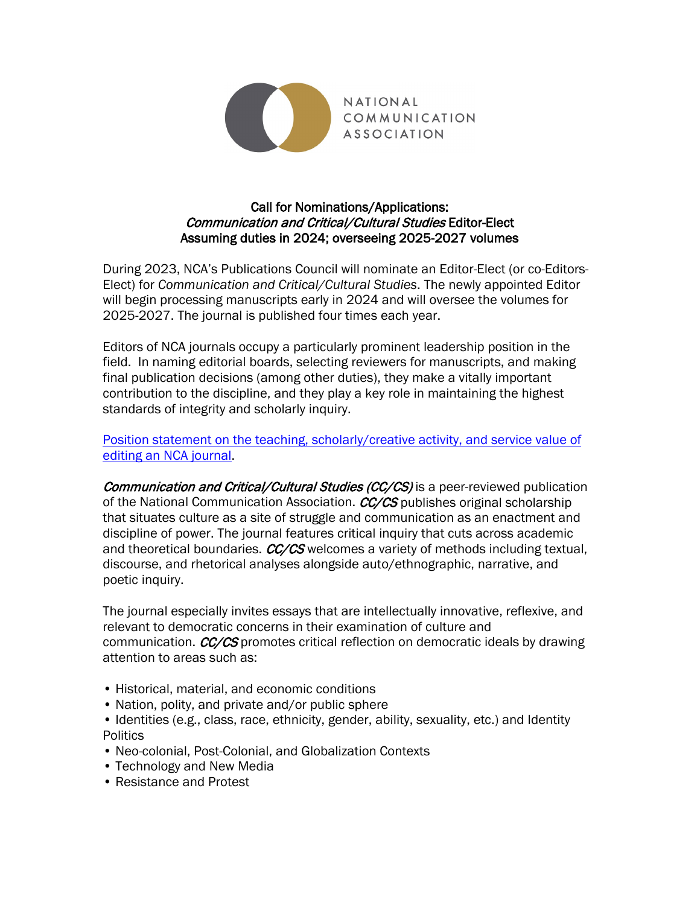

# Call for Nominations/Applications: Communication and Critical/Cultural Studies Editor-Elect Assuming duties in 2024; overseeing 2025-2027 volumes

During 2023, NCA's Publications Council will nominate an Editor-Elect (or co-Editors-Elect) for *Communication and Critical/Cultural Studies*. The newly appointed Editor will begin processing manuscripts early in 2024 and will oversee the volumes for 2025-2027. The journal is published four times each year.

Editors of NCA journals occupy a particularly prominent leadership position in the field. In naming editorial boards, selecting reviewers for manuscripts, and making final publication decisions (among other duties), they make a vitally important contribution to the discipline, and they play a key role in maintaining the highest standards of integrity and scholarly inquiry.

[Position statement on the teaching, scholarly/creative activity, and service value of](https://www.natcom.org/sites/default/files/pages/Position_Statement_on_the_Value_of_Editing_an_NCA_Journal.pdf)  [editing an NCA journal.](https://www.natcom.org/sites/default/files/pages/Position_Statement_on_the_Value_of_Editing_an_NCA_Journal.pdf)

Communication and Critical/Cultural Studies (CC/CS) is a peer-reviewed publication of the National Communication Association. CC/CS publishes original scholarship that situates culture as a site of struggle and communication as an enactment and discipline of power. The journal features critical inquiry that cuts across academic and theoretical boundaries.  $CC/CS$  welcomes a variety of methods including textual, discourse, and rhetorical analyses alongside auto/ethnographic, narrative, and poetic inquiry.

The journal especially invites essays that are intellectually innovative, reflexive, and relevant to democratic concerns in their examination of culture and communication.  $CC/CS$  promotes critical reflection on democratic ideals by drawing attention to areas such as:

- Historical, material, and economic conditions
- Nation, polity, and private and/or public sphere
- Identities (e.g., class, race, ethnicity, gender, ability, sexuality, etc.) and Identity **Politics**
- Neo-colonial, Post-Colonial, and Globalization Contexts
- Technology and New Media
- Resistance and Protest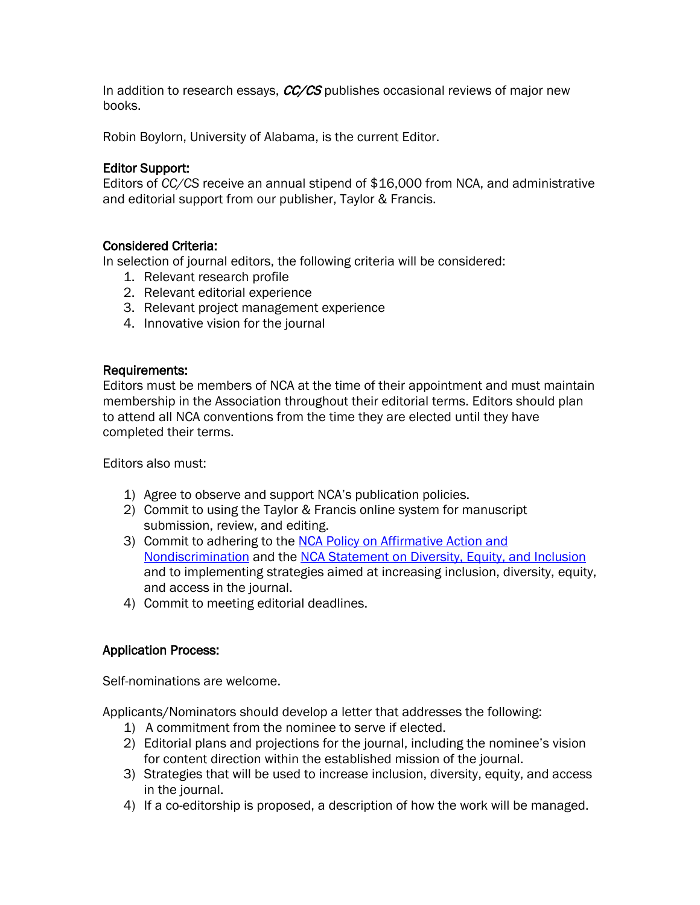In addition to research essays,  $CC/CS$  publishes occasional reviews of major new books.

Robin Boylorn, University of Alabama, is the current Editor.

# Editor Support:

Editors of *CC/CS* receive an annual stipend of \$16,000 from NCA, and administrative and editorial support from our publisher, Taylor & Francis.

## Considered Criteria:

In selection of journal editors, the following criteria will be considered:

- 1. Relevant research profile
- 2. Relevant editorial experience
- 3. Relevant project management experience
- 4. Innovative vision for the journal

#### Requirements:

Editors must be members of NCA at the time of their appointment and must maintain membership in the Association throughout their editorial terms. Editors should plan to attend all NCA conventions from the time they are elected until they have completed their terms.

Editors also must:

- 1) Agree to observe and support NCA's publication policies.
- 2) Commit to using the Taylor & Francis online system for manuscript submission, review, and editing.
- 3) Commit to adhering to the [NCA Policy on Affirmative Action and](https://www.natcom.org/sites/default/files/Public_Statement_NCA_Policy_on_Affirmative_Action_and_Nondiscrimination_2017.pdf)  [Nondiscrimination](https://www.natcom.org/sites/default/files/Public_Statement_NCA_Policy_on_Affirmative_Action_and_Nondiscrimination_2017.pdf) and the [NCA Statement on Diversity, Equity, and Inclusion](https://www.natcom.org/sites/default/files/NCA_Statement_on_Diversity_Equity_and_Inclusion_2018.pdf) and to implementing strategies aimed at increasing inclusion, diversity, equity, and access in the journal.
- 4) Commit to meeting editorial deadlines.

## Application Process:

Self-nominations are welcome.

Applicants/Nominators should develop a letter that addresses the following:

- 1) A commitment from the nominee to serve if elected.
- 2) Editorial plans and projections for the journal, including the nominee's vision for content direction within the established mission of the journal.
- 3) Strategies that will be used to increase inclusion, diversity, equity, and access in the journal.
- 4) If a co-editorship is proposed, a description of how the work will be managed.